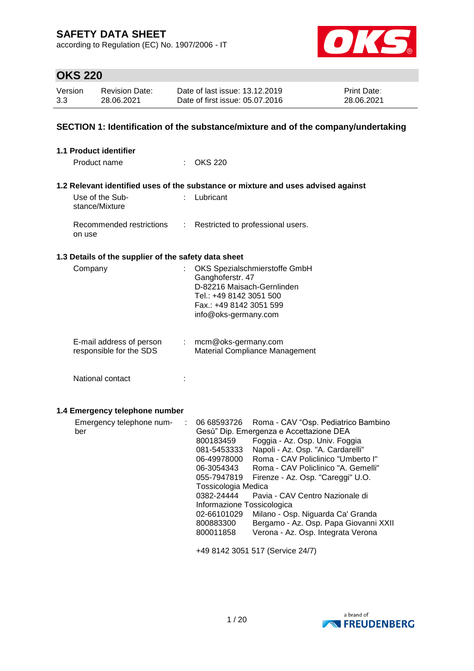according to Regulation (EC) No. 1907/2006 - IT



# **OKS 220**

| Version | <b>Revision Date:</b> | Date of last issue: 13.12.2019  | <b>Print Date:</b> |
|---------|-----------------------|---------------------------------|--------------------|
| 3.3     | 28.06.2021            | Date of first issue: 05.07.2016 | 28.06.2021         |

### **SECTION 1: Identification of the substance/mixture and of the company/undertaking**

| 1.1 Product identifier                               |    |                                                                                                                                                                                                                                                                                                                                                                                                                                                                                                                                                                                                                                                                       |
|------------------------------------------------------|----|-----------------------------------------------------------------------------------------------------------------------------------------------------------------------------------------------------------------------------------------------------------------------------------------------------------------------------------------------------------------------------------------------------------------------------------------------------------------------------------------------------------------------------------------------------------------------------------------------------------------------------------------------------------------------|
| Product name                                         |    | $\therefore$ OKS 220                                                                                                                                                                                                                                                                                                                                                                                                                                                                                                                                                                                                                                                  |
|                                                      |    | 1.2 Relevant identified uses of the substance or mixture and uses advised against                                                                                                                                                                                                                                                                                                                                                                                                                                                                                                                                                                                     |
| Use of the Sub-<br>stance/Mixture                    |    | Lubricant                                                                                                                                                                                                                                                                                                                                                                                                                                                                                                                                                                                                                                                             |
| Recommended restrictions<br>on use                   |    | Restricted to professional users.                                                                                                                                                                                                                                                                                                                                                                                                                                                                                                                                                                                                                                     |
| 1.3 Details of the supplier of the safety data sheet |    |                                                                                                                                                                                                                                                                                                                                                                                                                                                                                                                                                                                                                                                                       |
| Company                                              |    | OKS Spezialschmierstoffe GmbH<br>Ganghoferstr. 47<br>D-82216 Maisach-Gernlinden<br>Tel.: +49 8142 3051 500<br>Fax.: +49 8142 3051 599<br>info@oks-germany.com                                                                                                                                                                                                                                                                                                                                                                                                                                                                                                         |
| E-mail address of person<br>responsible for the SDS  | t. | mcm@oks-germany.com<br>Material Compliance Management                                                                                                                                                                                                                                                                                                                                                                                                                                                                                                                                                                                                                 |
| National contact                                     | ÷  |                                                                                                                                                                                                                                                                                                                                                                                                                                                                                                                                                                                                                                                                       |
| 1.4 Emergency telephone number                       |    |                                                                                                                                                                                                                                                                                                                                                                                                                                                                                                                                                                                                                                                                       |
| Emergency telephone num-<br>ber                      | ÷  | 06 68593726<br>Roma - CAV "Osp. Pediatrico Bambino<br>Gesù" Dip. Emergenza e Accettazione DEA<br>Foggia - Az. Osp. Univ. Foggia<br>800183459<br>Napoli - Az. Osp. "A. Cardarelli"<br>081-5453333<br>Roma - CAV Policlinico "Umberto I"<br>06-49978000<br>Roma - CAV Policlinico "A. Gemelli"<br>06-3054343<br>055-7947819<br>Firenze - Az. Osp. "Careggi" U.O.<br>Tossicologia Medica<br>0382-24444<br>Pavia - CAV Centro Nazionale di<br>Informazione Tossicologica<br>02-66101029<br>Milano - Osp. Niguarda Ca' Granda<br>Bergamo - Az. Osp. Papa Giovanni XXII<br>800883300<br>Verona - Az. Osp. Integrata Verona<br>800011858<br>+49 8142 3051 517 (Service 24/7) |

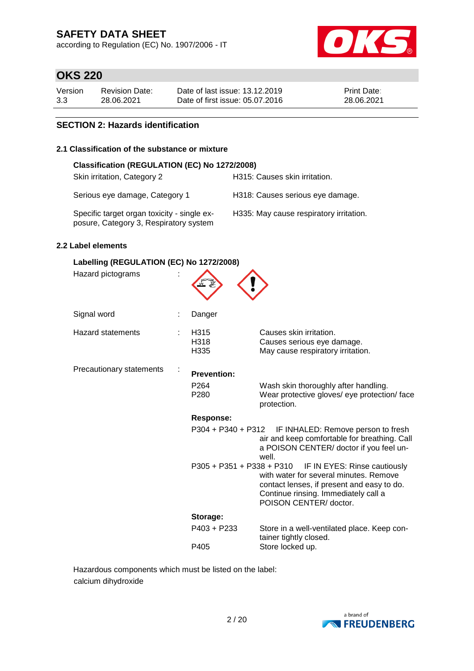according to Regulation (EC) No. 1907/2006 - IT



# **OKS 220**

| Version | Revision Date: | Date of last issue: 13.12.2019  | <b>Print Date:</b> |
|---------|----------------|---------------------------------|--------------------|
| 3.3     | 28.06.2021     | Date of first issue: 05.07.2016 | 28.06.2021         |

### **SECTION 2: Hazards identification**

### **2.1 Classification of the substance or mixture**

| Classification (REGULATION (EC) No 1272/2008)                                         |                                         |  |  |  |  |
|---------------------------------------------------------------------------------------|-----------------------------------------|--|--|--|--|
| Skin irritation, Category 2                                                           | H315: Causes skin irritation.           |  |  |  |  |
| Serious eye damage, Category 1                                                        | H318: Causes serious eye damage.        |  |  |  |  |
| Specific target organ toxicity - single ex-<br>posure, Category 3, Respiratory system | H335: May cause respiratory irritation. |  |  |  |  |

### **2.2 Label elements**

| Labelling (REGULATION (EC) No 1272/2008) |  |                                                            |                                                                                                                                                                                                                  |  |  |  |
|------------------------------------------|--|------------------------------------------------------------|------------------------------------------------------------------------------------------------------------------------------------------------------------------------------------------------------------------|--|--|--|
| Hazard pictograms                        |  |                                                            |                                                                                                                                                                                                                  |  |  |  |
| Signal word                              |  | Danger                                                     |                                                                                                                                                                                                                  |  |  |  |
| <b>Hazard statements</b>                 |  | H315<br>H318<br>H335                                       | Causes skin irritation.<br>Causes serious eye damage.<br>May cause respiratory irritation.                                                                                                                       |  |  |  |
| Precautionary statements                 |  | <b>Prevention:</b><br>P <sub>264</sub><br>P <sub>280</sub> | Wash skin thoroughly after handling.<br>Wear protective gloves/ eye protection/ face<br>protection.                                                                                                              |  |  |  |
|                                          |  | <b>Response:</b>                                           |                                                                                                                                                                                                                  |  |  |  |
|                                          |  | P304 + P340 + P312                                         | IF INHALED: Remove person to fresh<br>air and keep comfortable for breathing. Call<br>a POISON CENTER/ doctor if you feel un-<br>well.                                                                           |  |  |  |
|                                          |  |                                                            | P305 + P351 + P338 + P310 IF IN EYES: Rinse cautiously<br>with water for several minutes. Remove<br>contact lenses, if present and easy to do.<br>Continue rinsing. Immediately call a<br>POISON CENTER/ doctor. |  |  |  |
|                                          |  | Storage:                                                   |                                                                                                                                                                                                                  |  |  |  |
|                                          |  | $P403 + P233$                                              | Store in a well-ventilated place. Keep con-<br>tainer tightly closed.                                                                                                                                            |  |  |  |
|                                          |  | P405                                                       | Store locked up.                                                                                                                                                                                                 |  |  |  |

Hazardous components which must be listed on the label: calcium dihydroxide

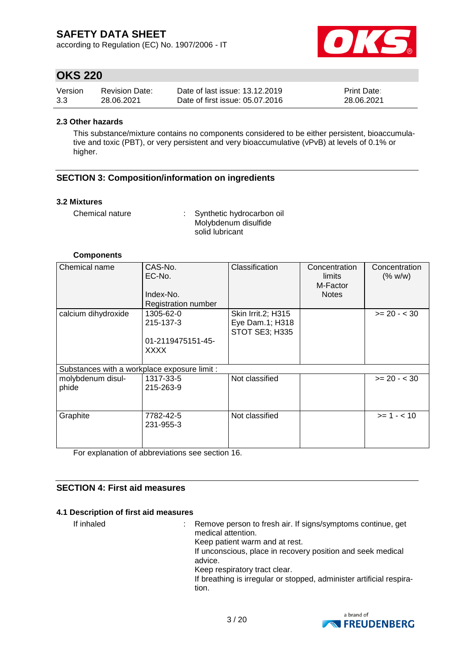according to Regulation (EC) No. 1907/2006 - IT



## **OKS 220**

| Version | <b>Revision Date:</b> | Date of last issue: 13.12.2019  | <b>Print Date:</b> |
|---------|-----------------------|---------------------------------|--------------------|
| 3.3     | 28.06.2021            | Date of first issue: 05.07.2016 | 28.06.2021         |

#### **2.3 Other hazards**

This substance/mixture contains no components considered to be either persistent, bioaccumulative and toxic (PBT), or very persistent and very bioaccumulative (vPvB) at levels of 0.1% or higher.

### **SECTION 3: Composition/information on ingredients**

#### **3.2 Mixtures**

Chemical nature : Synthetic hydrocarbon oil Molybdenum disulfide solid lubricant

#### **Components**

| Chemical name                                | CAS-No.<br>EC-No.<br>Index-No.<br><b>Registration number</b> | Classification                                          | Concentration<br>limits<br>M-Factor<br><b>Notes</b> | Concentration<br>(% w/w) |
|----------------------------------------------|--------------------------------------------------------------|---------------------------------------------------------|-----------------------------------------------------|--------------------------|
| calcium dihydroxide                          | 1305-62-0<br>215-137-3<br>01-2119475151-45-<br><b>XXXX</b>   | Skin Irrit.2; H315<br>Eye Dam.1; H318<br>STOT SE3; H335 |                                                     | $>= 20 - < 30$           |
| Substances with a workplace exposure limit : |                                                              |                                                         |                                                     |                          |
| molybdenum disul-<br>phide                   | 1317-33-5<br>215-263-9                                       | Not classified                                          |                                                     | $>= 20 - < 30$           |
| Graphite                                     | 7782-42-5<br>231-955-3                                       | Not classified                                          |                                                     | $>= 1 - 10$              |

For explanation of abbreviations see section 16.

### **SECTION 4: First aid measures**

### **4.1 Description of first aid measures**

If inhaled : Remove person to fresh air. If signs/symptoms continue, get medical attention. Keep patient warm and at rest. If unconscious, place in recovery position and seek medical advice. Keep respiratory tract clear. If breathing is irregular or stopped, administer artificial respiration.

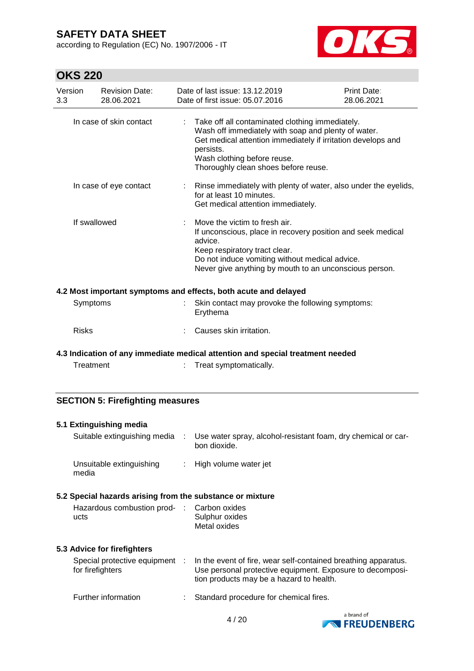according to Regulation (EC) No. 1907/2006 - IT



# **OKS 220**

| Version<br>3.3 |              | <b>Revision Date:</b><br>28.06.2021 |                             | Date of last issue: 13.12.2019<br>Date of first issue: 05.07.2016                                                                                                                                                                                          | Print Date:<br>28.06.2021 |
|----------------|--------------|-------------------------------------|-----------------------------|------------------------------------------------------------------------------------------------------------------------------------------------------------------------------------------------------------------------------------------------------------|---------------------------|
|                |              | In case of skin contact             |                             | Take off all contaminated clothing immediately.<br>Wash off immediately with soap and plenty of water.<br>Get medical attention immediately if irritation develops and<br>persists.<br>Wash clothing before reuse.<br>Thoroughly clean shoes before reuse. |                           |
|                |              | In case of eye contact              |                             | : Rinse immediately with plenty of water, also under the eyelids,<br>for at least 10 minutes.<br>Get medical attention immediately.                                                                                                                        |                           |
|                | If swallowed |                                     | $\mathcal{C}_{\mathcal{A}}$ | Move the victim to fresh air.<br>If unconscious, place in recovery position and seek medical<br>advice.<br>Keep respiratory tract clear.<br>Do not induce vomiting without medical advice.<br>Never give anything by mouth to an unconscious person.       |                           |
|                |              |                                     |                             | 4.2 Most important symptoms and effects, both acute and delayed                                                                                                                                                                                            |                           |
|                | Symptoms     |                                     |                             | Skin contact may provoke the following symptoms:<br>Erythema                                                                                                                                                                                               |                           |
|                | <b>Risks</b> |                                     |                             | Causes skin irritation.                                                                                                                                                                                                                                    |                           |
|                |              |                                     |                             | 4.3 Indication of any immediate medical attention and special treatment needed                                                                                                                                                                             |                           |
|                | Treatment    |                                     |                             | Treat symptomatically.                                                                                                                                                                                                                                     |                           |

### **SECTION 5: Firefighting measures**

| 5.1 Extinguishing media                                   |                                                                                                                                                                         |
|-----------------------------------------------------------|-------------------------------------------------------------------------------------------------------------------------------------------------------------------------|
| Suitable extinguishing media :                            | Use water spray, alcohol-resistant foam, dry chemical or car-<br>bon dioxide.                                                                                           |
| Unsuitable extinguishing<br>media                         | High volume water jet                                                                                                                                                   |
| 5.2 Special hazards arising from the substance or mixture |                                                                                                                                                                         |
| Hazardous combustion prod- : Carbon oxides<br>ucts        | Sulphur oxides<br>Metal oxides                                                                                                                                          |
| 5.3 Advice for firefighters                               |                                                                                                                                                                         |
| Special protective equipment :<br>for firefighters        | In the event of fire, wear self-contained breathing apparatus.<br>Use personal protective equipment. Exposure to decomposi-<br>tion products may be a hazard to health. |
| Further information                                       | Standard procedure for chemical fires.                                                                                                                                  |

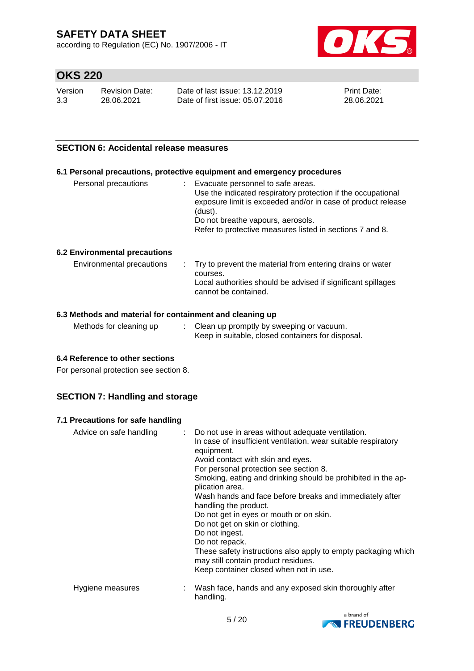according to Regulation (EC) No. 1907/2006 - IT



# **OKS 220**

| Version | Revision Date: | Date of last issue: 13.12.2019  | <b>Print Date:</b> |
|---------|----------------|---------------------------------|--------------------|
| 3.3     | 28.06.2021     | Date of first issue: 05.07.2016 | 28.06.2021         |

### **SECTION 6: Accidental release measures**

### **6.1 Personal precautions, protective equipment and emergency procedures**

| Personal precautions | Evacuate personnel to safe areas.<br>Use the indicated respiratory protection if the occupational<br>exposure limit is exceeded and/or in case of product release<br>(dust).<br>Do not breathe vapours, aerosols.<br>Refer to protective measures listed in sections 7 and 8. |
|----------------------|-------------------------------------------------------------------------------------------------------------------------------------------------------------------------------------------------------------------------------------------------------------------------------|
|                      |                                                                                                                                                                                                                                                                               |

#### **6.2 Environmental precautions**

| Environmental precautions |  | . Try to prevent the material from entering drains or water<br>courses.<br>Local authorities should be advised if significant spillages<br>cannot be contained. |
|---------------------------|--|-----------------------------------------------------------------------------------------------------------------------------------------------------------------|
|---------------------------|--|-----------------------------------------------------------------------------------------------------------------------------------------------------------------|

### **6.3 Methods and material for containment and cleaning up**

| Methods for cleaning up | Clean up promptly by sweeping or vacuum.<br>Keep in suitable, closed containers for disposal. |
|-------------------------|-----------------------------------------------------------------------------------------------|
|                         |                                                                                               |

### **6.4 Reference to other sections**

For personal protection see section 8.

### **SECTION 7: Handling and storage**

#### **7.1 Precautions for safe handling**

| Advice on safe handling | Do not use in areas without adequate ventilation.<br>In case of insufficient ventilation, wear suitable respiratory<br>equipment.<br>Avoid contact with skin and eyes.<br>For personal protection see section 8.<br>Smoking, eating and drinking should be prohibited in the ap-<br>plication area.<br>Wash hands and face before breaks and immediately after<br>handling the product.<br>Do not get in eyes or mouth or on skin.<br>Do not get on skin or clothing.<br>Do not ingest.<br>Do not repack.<br>These safety instructions also apply to empty packaging which<br>may still contain product residues.<br>Keep container closed when not in use. |
|-------------------------|-------------------------------------------------------------------------------------------------------------------------------------------------------------------------------------------------------------------------------------------------------------------------------------------------------------------------------------------------------------------------------------------------------------------------------------------------------------------------------------------------------------------------------------------------------------------------------------------------------------------------------------------------------------|
| Hygiene measures        | Wash face, hands and any exposed skin thoroughly after<br>handling.                                                                                                                                                                                                                                                                                                                                                                                                                                                                                                                                                                                         |

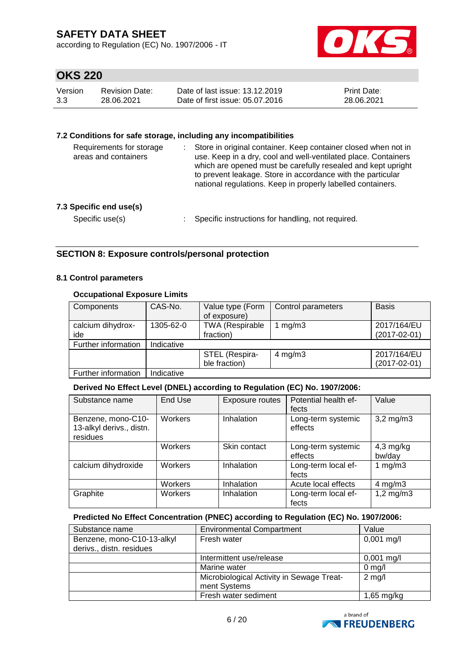according to Regulation (EC) No. 1907/2006 - IT



# **OKS 220**

| Version | Revision Date: | Date of last issue: 13.12.2019  | <b>Print Date:</b> |
|---------|----------------|---------------------------------|--------------------|
| 3.3     | 28.06.2021     | Date of first issue: 05.07.2016 | 28.06.2021         |

### **7.2 Conditions for safe storage, including any incompatibilities**

| Requirements for storage<br>areas and containers | Store in original container. Keep container closed when not in<br>use. Keep in a dry, cool and well-ventilated place. Containers<br>which are opened must be carefully resealed and kept upright<br>to prevent leakage. Store in accordance with the particular<br>national regulations. Keep in properly labelled containers. |
|--------------------------------------------------|--------------------------------------------------------------------------------------------------------------------------------------------------------------------------------------------------------------------------------------------------------------------------------------------------------------------------------|
| 7.3 Specific end use(s)<br>Specific use(s)       | Specific instructions for handling, not required.                                                                                                                                                                                                                                                                              |

### **SECTION 8: Exposure controls/personal protection**

### **8.1 Control parameters**

### **Occupational Exposure Limits**

| Components          | CAS-No.    | Value type (Form<br>of exposure) | Control parameters | <b>Basis</b>       |
|---------------------|------------|----------------------------------|--------------------|--------------------|
| calcium dihydrox-   | 1305-62-0  | <b>TWA (Respirable</b>           | mg/m3              | 2017/164/EU        |
| ide                 |            | fraction)                        |                    | $(2017 - 02 - 01)$ |
| Further information | Indicative |                                  |                    |                    |
|                     |            | STEL (Respira-                   | 4 mg/m $3$         | 2017/164/EU        |
|                     |            | ble fraction)                    |                    | $(2017 - 02 - 01)$ |
| Further information | Indicative |                                  |                    |                    |

### **Derived No Effect Level (DNEL) according to Regulation (EC) No. 1907/2006:**

| Substance name                                             | End Use | Exposure routes | Potential health ef-<br>fects | Value                 |
|------------------------------------------------------------|---------|-----------------|-------------------------------|-----------------------|
| Benzene, mono-C10-<br>13-alkyl derivs., distn.<br>residues | Workers | Inhalation      | Long-term systemic<br>effects | $3,2$ mg/m $3$        |
|                                                            | Workers | Skin contact    | Long-term systemic<br>effects | $4,3$ mg/kg<br>bw/day |
| calcium dihydroxide                                        | Workers | Inhalation      | Long-term local ef-<br>fects  | 1 $mg/m3$             |
|                                                            | Workers | Inhalation      | Acute local effects           | $4$ mg/m $3$          |
| Graphite                                                   | Workers | Inhalation      | Long-term local ef-<br>fects  | $1,2$ mg/m $3$        |

### **Predicted No Effect Concentration (PNEC) according to Regulation (EC) No. 1907/2006:**

| Substance name             | <b>Environmental Compartment</b>          | Value            |
|----------------------------|-------------------------------------------|------------------|
| Benzene, mono-C10-13-alkyl | Fresh water                               | $0,001$ mg/l     |
| derivs., distn. residues   |                                           |                  |
|                            | Intermittent use/release                  | $0,001$ mg/l     |
|                            | Marine water                              | $0 \text{ mg/l}$ |
|                            | Microbiological Activity in Sewage Treat- | $2$ mg/l         |
|                            | ment Systems                              |                  |
|                            | Fresh water sediment                      | $1,65$ mg/kg     |

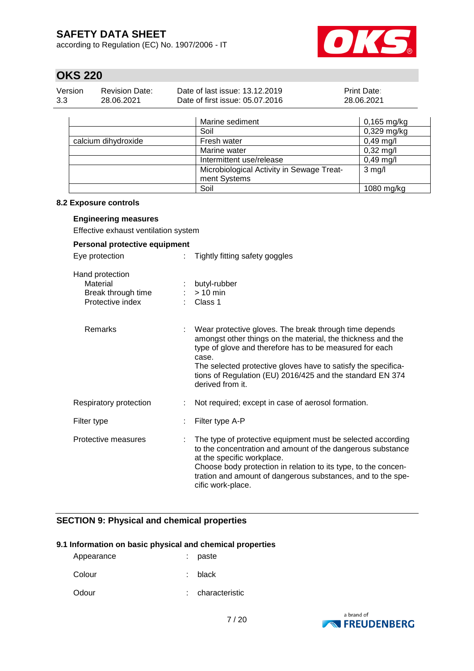according to Regulation (EC) No. 1907/2006 - IT



# **OKS 220**

| Version | Revision Date: | Date of last issue: 13.12.2019  | <b>Print Date:</b> |
|---------|----------------|---------------------------------|--------------------|
| 3.3     | 28.06.2021     | Date of first issue: 05.07.2016 | 28.06.2021         |

|                     | Marine sediment                           | $0,165$ mg/kg       |
|---------------------|-------------------------------------------|---------------------|
|                     | Soil                                      | $0,329$ mg/kg       |
| calcium dihydroxide | Fresh water                               | $0,49$ mg/l         |
|                     | Marine water                              | $0,32 \text{ mg/l}$ |
|                     | Intermittent use/release                  | $0,49$ mg/l         |
|                     | Microbiological Activity in Sewage Treat- | $3$ mg/l            |
|                     | ment Systems                              |                     |
|                     | Soil                                      | $1080$ mg/kg        |

### **8.2 Exposure controls**

#### **Engineering measures**

Effective exhaust ventilation system

| Personal protective equipment                                         |                                                                                                                                                                                                                                                                                                                                             |  |  |  |
|-----------------------------------------------------------------------|---------------------------------------------------------------------------------------------------------------------------------------------------------------------------------------------------------------------------------------------------------------------------------------------------------------------------------------------|--|--|--|
| Eye protection                                                        | Tightly fitting safety goggles<br>t.                                                                                                                                                                                                                                                                                                        |  |  |  |
| Hand protection<br>Material<br>Break through time<br>Protective index | butyl-rubber<br>$> 10$ min<br>Class 1                                                                                                                                                                                                                                                                                                       |  |  |  |
| Remarks                                                               | Wear protective gloves. The break through time depends<br>amongst other things on the material, the thickness and the<br>type of glove and therefore has to be measured for each<br>case.<br>The selected protective gloves have to satisfy the specifica-<br>tions of Regulation (EU) 2016/425 and the standard EN 374<br>derived from it. |  |  |  |
| Respiratory protection                                                | Not required; except in case of aerosol formation.                                                                                                                                                                                                                                                                                          |  |  |  |
| Filter type                                                           | Filter type A-P                                                                                                                                                                                                                                                                                                                             |  |  |  |
| Protective measures                                                   | The type of protective equipment must be selected according<br>to the concentration and amount of the dangerous substance<br>at the specific workplace.<br>Choose body protection in relation to its type, to the concen-<br>tration and amount of dangerous substances, and to the spe-<br>cific work-place.                               |  |  |  |

### **SECTION 9: Physical and chemical properties**

### **9.1 Information on basic physical and chemical properties**

| paste |
|-------|
|       |

Colour : black

Odour : characteristic

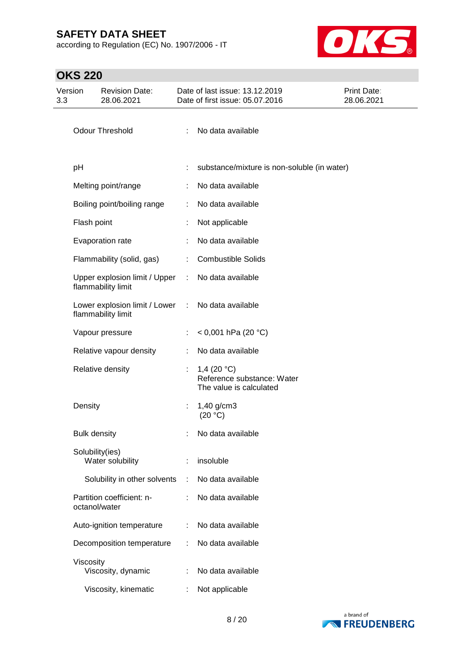according to Regulation (EC) No. 1907/2006 - IT



| Version<br>3.3 |                     | <b>Revision Date:</b><br>28.06.2021                 |                             | Date of last issue: 13.12.2019<br>Date of first issue: 05.07.2016      | <b>Print Date:</b><br>28.06.2021 |
|----------------|---------------------|-----------------------------------------------------|-----------------------------|------------------------------------------------------------------------|----------------------------------|
|                |                     | <b>Odour Threshold</b>                              | ÷                           | No data available                                                      |                                  |
|                | pH                  |                                                     |                             | substance/mixture is non-soluble (in water)                            |                                  |
|                |                     | Melting point/range                                 |                             | No data available                                                      |                                  |
|                |                     | Boiling point/boiling range                         | ÷                           | No data available                                                      |                                  |
|                | Flash point         |                                                     |                             | Not applicable                                                         |                                  |
|                |                     | Evaporation rate                                    |                             | No data available                                                      |                                  |
|                |                     | Flammability (solid, gas)                           | ÷                           | <b>Combustible Solids</b>                                              |                                  |
|                |                     | Upper explosion limit / Upper<br>flammability limit | ÷.                          | No data available                                                      |                                  |
|                |                     | Lower explosion limit / Lower<br>flammability limit | $\mathcal{L}^{\mathcal{L}}$ | No data available                                                      |                                  |
|                |                     | Vapour pressure                                     | ÷                           | < 0,001 hPa (20 °C)                                                    |                                  |
|                |                     | Relative vapour density                             | ÷                           | No data available                                                      |                                  |
|                |                     | Relative density                                    |                             | 1,4 $(20 °C)$<br>Reference substance: Water<br>The value is calculated |                                  |
|                | Density             |                                                     | ÷                           | 1,40 g/cm3<br>(20 °C)                                                  |                                  |
|                | <b>Bulk density</b> |                                                     |                             | No data available                                                      |                                  |
|                | Solubility(ies)     | Water solubility                                    |                             | insoluble                                                              |                                  |
|                |                     | Solubility in other solvents                        | ÷                           | No data available                                                      |                                  |
|                | octanol/water       | Partition coefficient: n-                           |                             | No data available                                                      |                                  |
|                |                     | Auto-ignition temperature                           |                             | No data available                                                      |                                  |
|                |                     | Decomposition temperature                           | ÷                           | No data available                                                      |                                  |
|                | Viscosity           | Viscosity, dynamic                                  |                             | No data available                                                      |                                  |
|                |                     | Viscosity, kinematic                                |                             | Not applicable                                                         |                                  |

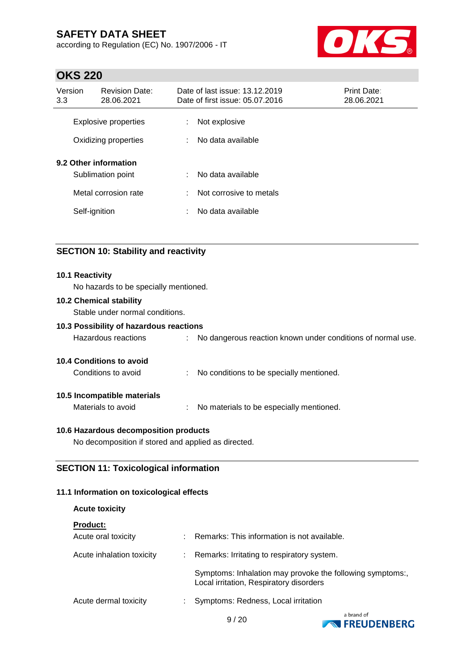according to Regulation (EC) No. 1907/2006 - IT



## **OKS 220**

| Version<br>3.3 | <b>Revision Date:</b><br>28.06.2021          |        | Date of last issue: 13.12.2019<br>Date of first issue: 05.07.2016 | <b>Print Date:</b><br>28.06.2021 |
|----------------|----------------------------------------------|--------|-------------------------------------------------------------------|----------------------------------|
|                | Explosive properties<br>Oxidizing properties | ÷<br>÷ | Not explosive<br>No data available                                |                                  |
|                | 9.2 Other information<br>Sublimation point   | ÷      | No data available                                                 |                                  |
|                | Metal corrosion rate                         | ÷      | Not corrosive to metals                                           |                                  |
|                | Self-ignition                                | ÷      | No data available                                                 |                                  |

### **SECTION 10: Stability and reactivity**

#### **10.1 Reactivity**

No hazards to be specially mentioned.

### **10.2 Chemical stability**

Stable under normal conditions.

### **10.3 Possibility of hazardous reactions**

| No dangerous reaction known under conditions of normal use.<br>Hazardous reactions |
|------------------------------------------------------------------------------------|
|------------------------------------------------------------------------------------|

### **10.4 Conditions to avoid**

Conditions to avoid : No conditions to be specially mentioned.

### **10.5 Incompatible materials**

Materials to avoid : No materials to be especially mentioned.

### **10.6 Hazardous decomposition products**

No decomposition if stored and applied as directed.

### **SECTION 11: Toxicological information**

### **11.1 Information on toxicological effects**

| <b>Acute toxicity</b>     |    |                                                                                                      |
|---------------------------|----|------------------------------------------------------------------------------------------------------|
| <b>Product:</b>           |    |                                                                                                      |
| Acute oral toxicity       |    | Remarks: This information is not available.                                                          |
| Acute inhalation toxicity | ÷. | Remarks: Irritating to respiratory system.                                                           |
|                           |    | Symptoms: Inhalation may provoke the following symptoms:,<br>Local irritation, Respiratory disorders |
| Acute dermal toxicity     |    | Symptoms: Redness, Local irritation                                                                  |



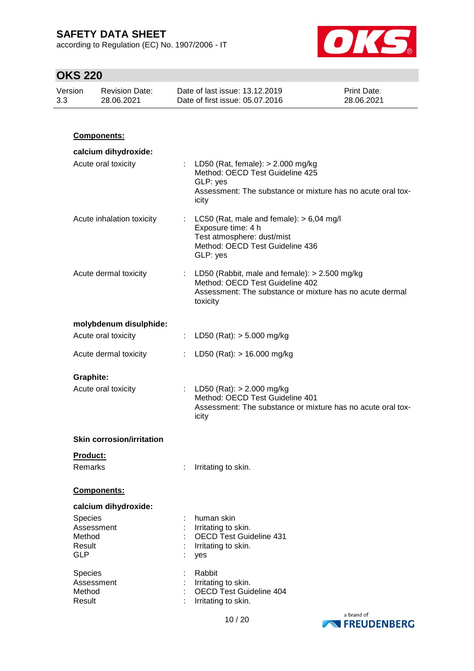according to Regulation (EC) No. 1907/2006 - IT



| Version<br>3.3 |                                                         | <b>Revision Date:</b><br>28.06.2021 | Date of last issue: 13.12.2019<br>Print Date:<br>Date of first issue: 05.07.2016<br>28.06.2021 |                                                                                                                                                              |  |
|----------------|---------------------------------------------------------|-------------------------------------|------------------------------------------------------------------------------------------------|--------------------------------------------------------------------------------------------------------------------------------------------------------------|--|
|                |                                                         |                                     |                                                                                                |                                                                                                                                                              |  |
|                |                                                         | Components:                         |                                                                                                |                                                                                                                                                              |  |
|                |                                                         | calcium dihydroxide:                |                                                                                                |                                                                                                                                                              |  |
|                |                                                         | Acute oral toxicity                 |                                                                                                | LD50 (Rat, female): $>$ 2.000 mg/kg<br>Method: OECD Test Guideline 425<br>GLP: yes<br>Assessment: The substance or mixture has no acute oral tox-<br>icity   |  |
|                |                                                         | Acute inhalation toxicity           |                                                                                                | : LC50 (Rat, male and female): $> 6,04$ mg/l<br>Exposure time: 4 h<br>Test atmosphere: dust/mist<br>Method: OECD Test Guideline 436<br>GLP: yes              |  |
|                |                                                         | Acute dermal toxicity               |                                                                                                | : LD50 (Rabbit, male and female): $> 2.500$ mg/kg<br>Method: OECD Test Guideline 402<br>Assessment: The substance or mixture has no acute dermal<br>toxicity |  |
|                |                                                         | molybdenum disulphide:              |                                                                                                |                                                                                                                                                              |  |
|                |                                                         | Acute oral toxicity                 |                                                                                                | LD50 (Rat): $> 5.000$ mg/kg                                                                                                                                  |  |
|                |                                                         | Acute dermal toxicity               |                                                                                                | LD50 (Rat): $> 16.000$ mg/kg                                                                                                                                 |  |
|                | <b>Graphite:</b>                                        | Acute oral toxicity                 |                                                                                                | : LD50 (Rat): $> 2.000$ mg/kg<br>Method: OECD Test Guideline 401<br>Assessment: The substance or mixture has no acute oral tox-<br>icity                     |  |
|                |                                                         | <b>Skin corrosion/irritation</b>    |                                                                                                |                                                                                                                                                              |  |
|                | Product:<br>Remarks                                     |                                     |                                                                                                | Irritating to skin.                                                                                                                                          |  |
|                |                                                         | Components:                         |                                                                                                |                                                                                                                                                              |  |
|                |                                                         | calcium dihydroxide:                |                                                                                                |                                                                                                                                                              |  |
|                | Species<br>Assessment<br>Method<br>Result<br><b>GLP</b> |                                     |                                                                                                | human skin<br>Irritating to skin.<br><b>OECD Test Guideline 431</b><br>Irritating to skin.<br>yes                                                            |  |
|                | Species<br>Assessment<br>Method<br>Result               |                                     |                                                                                                | Rabbit<br>Irritating to skin.<br><b>OECD Test Guideline 404</b><br>Irritating to skin.                                                                       |  |

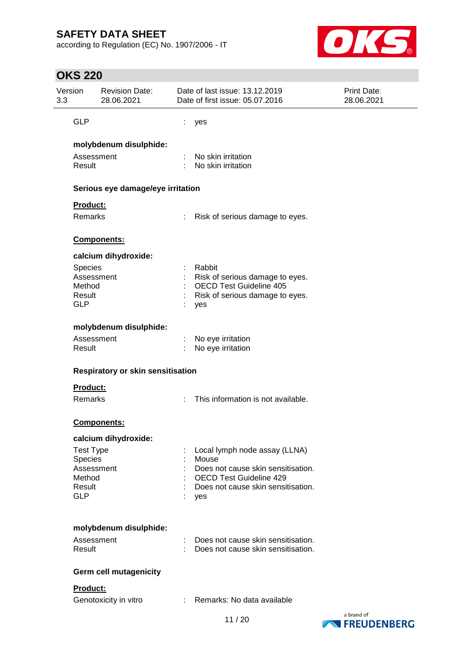according to Regulation (EC) No. 1907/2006 - IT



| Version<br>3.3 | <b>Revision Date:</b><br>28.06.2021                                                                 |                | Date of last issue: 13.12.2019<br>Date of first issue: 05.07.2016                                                                                           | Print Date:<br>28.06.2021 |
|----------------|-----------------------------------------------------------------------------------------------------|----------------|-------------------------------------------------------------------------------------------------------------------------------------------------------------|---------------------------|
|                | <b>GLP</b>                                                                                          | t              | yes                                                                                                                                                         |                           |
|                | molybdenum disulphide:<br>Assessment<br>Result                                                      |                | No skin irritation<br>No skin irritation                                                                                                                    |                           |
|                | Serious eye damage/eye irritation                                                                   |                |                                                                                                                                                             |                           |
|                | Product:<br>Remarks                                                                                 |                | Risk of serious damage to eyes.                                                                                                                             |                           |
|                | Components:                                                                                         |                |                                                                                                                                                             |                           |
|                | calcium dihydroxide:<br>Species<br>Assessment<br>Method<br>Result<br><b>GLP</b>                     |                | Rabbit<br>Risk of serious damage to eyes.<br><b>OECD Test Guideline 405</b><br>Risk of serious damage to eyes.<br>yes                                       |                           |
|                | molybdenum disulphide:                                                                              |                |                                                                                                                                                             |                           |
|                | Assessment<br>Result                                                                                |                | No eye irritation<br>No eye irritation                                                                                                                      |                           |
|                | Respiratory or skin sensitisation                                                                   |                |                                                                                                                                                             |                           |
|                | <b>Product:</b><br>Remarks                                                                          | ÷              | This information is not available.                                                                                                                          |                           |
|                | <b>Components:</b>                                                                                  |                |                                                                                                                                                             |                           |
|                | calcium dihydroxide:<br><b>Test Type</b><br>Species<br>Assessment<br>Method<br>Result<br><b>GLP</b> |                | Local lymph node assay (LLNA)<br>Mouse<br>Does not cause skin sensitisation.<br><b>OECD Test Guideline 429</b><br>Does not cause skin sensitisation.<br>yes |                           |
|                | molybdenum disulphide:<br>Assessment<br>Result                                                      |                | Does not cause skin sensitisation.<br>Does not cause skin sensitisation.                                                                                    |                           |
|                | <b>Germ cell mutagenicity</b>                                                                       |                |                                                                                                                                                             |                           |
|                | Product:<br>Genotoxicity in vitro                                                                   | $\mathbb{R}^n$ | Remarks: No data available                                                                                                                                  | hrond of                  |

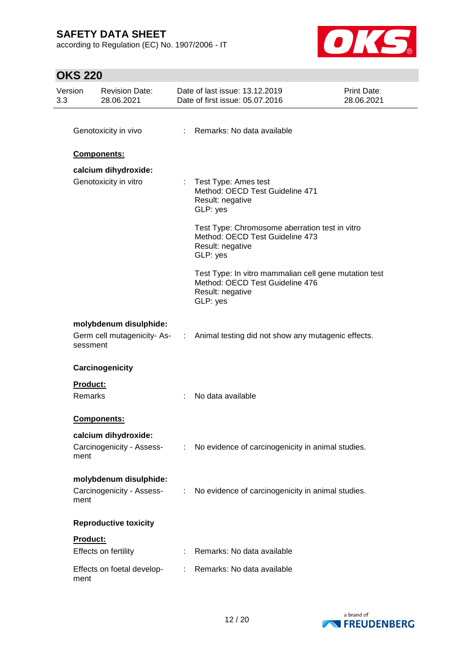according to Regulation (EC) No. 1907/2006 - IT



| Version<br>3.3 |          | <b>Revision Date:</b><br>28.06.2021 |    | Date of last issue: 13.12.2019<br>Date of first issue: 05.07.2016                                                        | Print Date:<br>28.06.2021 |
|----------------|----------|-------------------------------------|----|--------------------------------------------------------------------------------------------------------------------------|---------------------------|
|                |          |                                     |    |                                                                                                                          |                           |
|                |          | Genotoxicity in vivo                |    | Remarks: No data available                                                                                               |                           |
|                |          | Components:                         |    |                                                                                                                          |                           |
|                |          | calcium dihydroxide:                |    |                                                                                                                          |                           |
|                |          | Genotoxicity in vitro               | ÷. | Test Type: Ames test<br>Method: OECD Test Guideline 471<br>Result: negative<br>GLP: yes                                  |                           |
|                |          |                                     |    | Test Type: Chromosome aberration test in vitro<br>Method: OECD Test Guideline 473<br>Result: negative<br>GLP: yes        |                           |
|                |          |                                     |    | Test Type: In vitro mammalian cell gene mutation test<br>Method: OECD Test Guideline 476<br>Result: negative<br>GLP: yes |                           |
|                |          | molybdenum disulphide:              |    |                                                                                                                          |                           |
|                | sessment |                                     |    | Germ cell mutagenicity-As- : Animal testing did not show any mutagenic effects.                                          |                           |
|                |          | Carcinogenicity                     |    |                                                                                                                          |                           |
|                | Product: |                                     |    |                                                                                                                          |                           |
|                | Remarks  |                                     | ÷  | No data available                                                                                                        |                           |
|                |          | Components:                         |    |                                                                                                                          |                           |
|                |          | calcium dihydroxide:                |    |                                                                                                                          |                           |
|                | ment     | Carcinogenicity - Assess-           | ÷  | No evidence of carcinogenicity in animal studies.                                                                        |                           |
|                |          | molybdenum disulphide:              |    |                                                                                                                          |                           |
|                | ment     | Carcinogenicity - Assess-           | ÷  | No evidence of carcinogenicity in animal studies.                                                                        |                           |
|                |          | <b>Reproductive toxicity</b>        |    |                                                                                                                          |                           |
|                | Product: |                                     |    |                                                                                                                          |                           |
|                |          | Effects on fertility                |    | Remarks: No data available                                                                                               |                           |
|                | ment     | Effects on foetal develop-          |    | Remarks: No data available                                                                                               |                           |

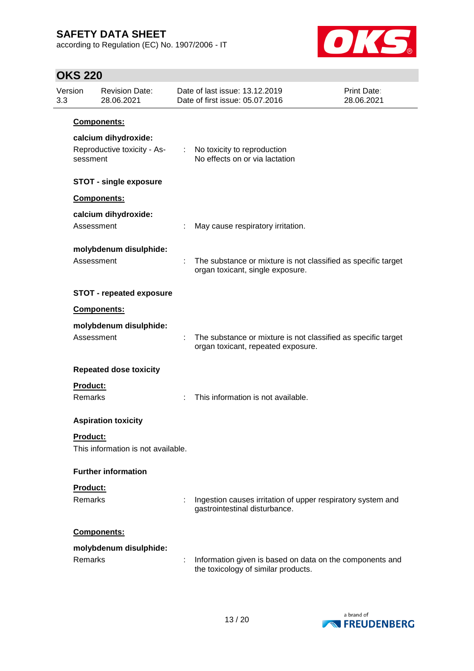according to Regulation (EC) No. 1907/2006 - IT



| Version<br>3.3 |                     | <b>Revision Date:</b><br>28.06.2021                 | Date of last issue: 13.12.2019<br>Date of first issue: 05.07.2016                                   | <b>Print Date:</b><br>28.06.2021 |
|----------------|---------------------|-----------------------------------------------------|-----------------------------------------------------------------------------------------------------|----------------------------------|
|                |                     | Components:                                         |                                                                                                     |                                  |
|                | sessment            | calcium dihydroxide:<br>Reproductive toxicity - As- | : No toxicity to reproduction<br>No effects on or via lactation                                     |                                  |
|                |                     | <b>STOT - single exposure</b>                       |                                                                                                     |                                  |
|                |                     | Components:                                         |                                                                                                     |                                  |
|                |                     | calcium dihydroxide:<br>Assessment                  | May cause respiratory irritation.                                                                   |                                  |
|                |                     | molybdenum disulphide:<br>Assessment                | The substance or mixture is not classified as specific target<br>organ toxicant, single exposure.   |                                  |
|                |                     | <b>STOT - repeated exposure</b>                     |                                                                                                     |                                  |
|                |                     | Components:                                         |                                                                                                     |                                  |
|                |                     | molybdenum disulphide:<br>Assessment                | The substance or mixture is not classified as specific target<br>organ toxicant, repeated exposure. |                                  |
|                |                     | <b>Repeated dose toxicity</b>                       |                                                                                                     |                                  |
|                | Product:<br>Remarks |                                                     | This information is not available.                                                                  |                                  |
|                |                     | <b>Aspiration toxicity</b>                          |                                                                                                     |                                  |
|                | <b>Product:</b>     | This information is not available.                  |                                                                                                     |                                  |
|                |                     | <b>Further information</b>                          |                                                                                                     |                                  |
|                | Product:            |                                                     |                                                                                                     |                                  |
|                | Remarks             |                                                     | Ingestion causes irritation of upper respiratory system and<br>gastrointestinal disturbance.        |                                  |
|                |                     | Components:                                         |                                                                                                     |                                  |
|                | Remarks             | molybdenum disulphide:                              | Information given is based on data on the components and<br>the toxicology of similar products.     |                                  |

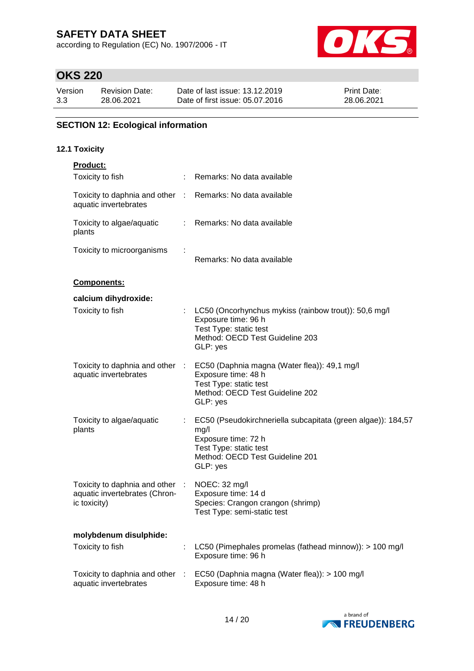according to Regulation (EC) No. 1907/2006 - IT



# **OKS 220**

| Version | Revision Date: | Date of last issue: 13.12.2019  | <b>Print Date:</b> |
|---------|----------------|---------------------------------|--------------------|
| 3.3     | 28.06.2021     | Date of first issue: 05.07.2016 | 28.06.2021         |

### **SECTION 12: Ecological information**

### **12.1 Toxicity**

| Product:                                                                         |                |                                                                                                                                                                      |
|----------------------------------------------------------------------------------|----------------|----------------------------------------------------------------------------------------------------------------------------------------------------------------------|
| Toxicity to fish                                                                 |                | Remarks: No data available                                                                                                                                           |
| Toxicity to daphnia and other :<br>aquatic invertebrates                         |                | Remarks: No data available                                                                                                                                           |
| Toxicity to algae/aquatic<br>plants                                              | $\mathbb{R}^n$ | Remarks: No data available                                                                                                                                           |
| Toxicity to microorganisms                                                       |                | Remarks: No data available                                                                                                                                           |
| Components:                                                                      |                |                                                                                                                                                                      |
| calcium dihydroxide:                                                             |                |                                                                                                                                                                      |
| Toxicity to fish                                                                 |                | LC50 (Oncorhynchus mykiss (rainbow trout)): 50,6 mg/l<br>Exposure time: 96 h<br>Test Type: static test<br>Method: OECD Test Guideline 203<br>GLP: yes                |
| Toxicity to daphnia and other :<br>aquatic invertebrates                         |                | EC50 (Daphnia magna (Water flea)): 49,1 mg/l<br>Exposure time: 48 h<br>Test Type: static test<br>Method: OECD Test Guideline 202<br>GLP: yes                         |
| Toxicity to algae/aquatic<br>plants                                              |                | EC50 (Pseudokirchneriella subcapitata (green algae)): 184,57<br>mg/l<br>Exposure time: 72 h<br>Test Type: static test<br>Method: OECD Test Guideline 201<br>GLP: yes |
| Toxicity to daphnia and other :<br>aquatic invertebrates (Chron-<br>ic toxicity) |                | NOEC: 32 mg/l<br>Exposure time: 14 d<br>Species: Crangon crangon (shrimp)<br>Test Type: semi-static test                                                             |
| molybdenum disulphide:                                                           |                |                                                                                                                                                                      |
| Toxicity to fish                                                                 |                | LC50 (Pimephales promelas (fathead minnow)): > 100 mg/l<br>Exposure time: 96 h                                                                                       |
| Toxicity to daphnia and other<br>aquatic invertebrates                           | $\sim 10$      | EC50 (Daphnia magna (Water flea)): > 100 mg/l<br>Exposure time: 48 h                                                                                                 |

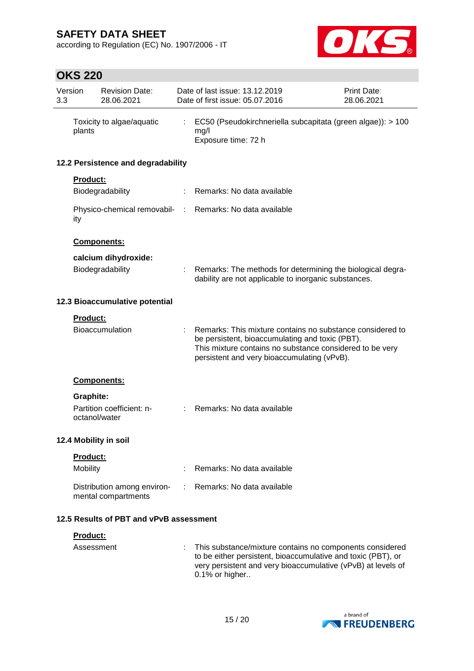according to Regulation (EC) No. 1907/2006 - IT



| 3.3                   | Version         | <b>Revision Date:</b><br>28.06.2021                |    | Date of last issue: 13.12.2019<br>Date of first issue: 05.07.2016                                                                                                                                                       | <b>Print Date:</b><br>28.06.2021 |
|-----------------------|-----------------|----------------------------------------------------|----|-------------------------------------------------------------------------------------------------------------------------------------------------------------------------------------------------------------------------|----------------------------------|
|                       | plants          | Toxicity to algae/aquatic                          | ÷. | EC50 (Pseudokirchneriella subcapitata (green algae)): > 100<br>mg/l<br>Exposure time: 72 h                                                                                                                              |                                  |
|                       |                 | 12.2 Persistence and degradability                 |    |                                                                                                                                                                                                                         |                                  |
|                       | Product:        |                                                    |    |                                                                                                                                                                                                                         |                                  |
|                       |                 | Biodegradability                                   |    | Remarks: No data available                                                                                                                                                                                              |                                  |
|                       | ity             |                                                    |    | Physico-chemical removabil- : Remarks: No data available                                                                                                                                                                |                                  |
|                       |                 | <b>Components:</b>                                 |    |                                                                                                                                                                                                                         |                                  |
|                       |                 | calcium dihydroxide:                               |    |                                                                                                                                                                                                                         |                                  |
|                       |                 | Biodegradability                                   |    | : Remarks: The methods for determining the biological degra-<br>dability are not applicable to inorganic substances.                                                                                                    |                                  |
|                       |                 | 12.3 Bioaccumulative potential                     |    |                                                                                                                                                                                                                         |                                  |
|                       | <b>Product:</b> |                                                    |    |                                                                                                                                                                                                                         |                                  |
|                       |                 | Bioaccumulation                                    |    | Remarks: This mixture contains no substance considered to<br>be persistent, bioaccumulating and toxic (PBT).<br>This mixture contains no substance considered to be very<br>persistent and very bioaccumulating (vPvB). |                                  |
|                       |                 | Components:                                        |    |                                                                                                                                                                                                                         |                                  |
|                       | Graphite:       |                                                    |    |                                                                                                                                                                                                                         |                                  |
|                       | octanol/water   | Partition coefficient: n-                          |    | Remarks: No data available                                                                                                                                                                                              |                                  |
| 12.4 Mobility in soil |                 |                                                    |    |                                                                                                                                                                                                                         |                                  |
|                       | Product:        |                                                    |    |                                                                                                                                                                                                                         |                                  |
|                       | Mobility        |                                                    |    | Remarks: No data available                                                                                                                                                                                              |                                  |
|                       |                 | Distribution among environ-<br>mental compartments |    | Remarks: No data available                                                                                                                                                                                              |                                  |
|                       |                 | 12.5 Results of PBT and vPvB assessment            |    |                                                                                                                                                                                                                         |                                  |
|                       | Product:        |                                                    |    |                                                                                                                                                                                                                         |                                  |
|                       | Assessment      |                                                    |    | This substance/mixture contains no components considered<br>to be either persistent, bioaccumulative and toxic (PBT), or<br>very persistent and very bioaccumulative (vPvB) at levels of<br>0.1% or higher              |                                  |

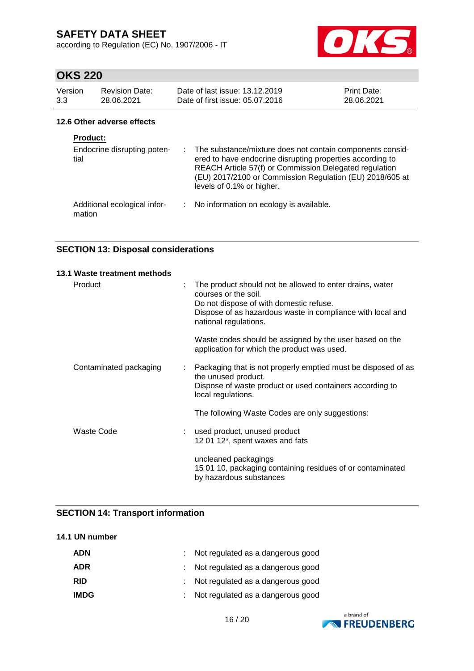according to Regulation (EC) No. 1907/2006 - IT



# **OKS 220**

| Version         | <b>Revision Date:</b>       | Date of last issue: 13.12.2019                                                                                                                                                                                                                                              | Print Date: |
|-----------------|-----------------------------|-----------------------------------------------------------------------------------------------------------------------------------------------------------------------------------------------------------------------------------------------------------------------------|-------------|
| 3.3             | 28.06.2021                  | Date of first issue: 05.07.2016                                                                                                                                                                                                                                             | 28.06.2021  |
|                 | 12.6 Other adverse effects  |                                                                                                                                                                                                                                                                             |             |
| <b>Product:</b> |                             |                                                                                                                                                                                                                                                                             |             |
| tial            | Endocrine disrupting poten- | : The substance/mixture does not contain components consid-<br>ered to have endocrine disrupting properties according to<br>REACH Article 57(f) or Commission Delegated regulation<br>(EU) 2017/2100 or Commission Regulation (EU) 2018/605 at<br>levels of 0.1% or higher. |             |

Additional ecological infor-: No information on ecology is available. mation

### **SECTION 13: Disposal considerations**

| 13.1 Waste treatment methods |   |                                                                                                                                                                                                                    |
|------------------------------|---|--------------------------------------------------------------------------------------------------------------------------------------------------------------------------------------------------------------------|
| Product                      | ÷ | The product should not be allowed to enter drains, water<br>courses or the soil.<br>Do not dispose of with domestic refuse.<br>Dispose of as hazardous waste in compliance with local and<br>national regulations. |
|                              |   | Waste codes should be assigned by the user based on the<br>application for which the product was used.                                                                                                             |
| Contaminated packaging       | ÷ | Packaging that is not properly emptied must be disposed of as<br>the unused product.<br>Dispose of waste product or used containers according to<br>local regulations.                                             |
|                              |   | The following Waste Codes are only suggestions:                                                                                                                                                                    |
| Waste Code                   |   | used product, unused product<br>12 01 12*, spent waxes and fats                                                                                                                                                    |
|                              |   | uncleaned packagings<br>15 01 10, packaging containing residues of or contaminated<br>by hazardous substances                                                                                                      |

### **SECTION 14: Transport information**

### **14.1 UN number**

| <b>ADN</b>  | : Not regulated as a dangerous good |
|-------------|-------------------------------------|
| ADR         | : Not regulated as a dangerous good |
| <b>RID</b>  | : Not regulated as a dangerous good |
| <b>IMDG</b> | : Not regulated as a dangerous good |

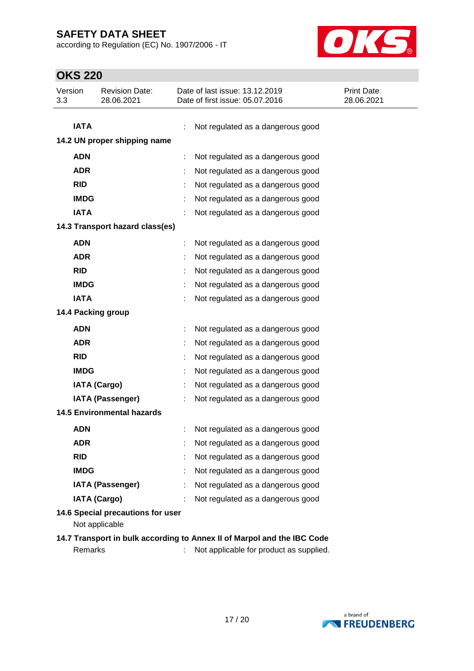according to Regulation (EC) No. 1907/2006 - IT



| Version<br><b>Revision Date:</b>                                        | Date of last issue: 13.12.2019          | Print Date: |  |  |  |
|-------------------------------------------------------------------------|-----------------------------------------|-------------|--|--|--|
| 3.3<br>28.06.2021                                                       | Date of first issue: 05.07.2016         | 28.06.2021  |  |  |  |
|                                                                         |                                         |             |  |  |  |
| <b>IATA</b>                                                             | Not regulated as a dangerous good       |             |  |  |  |
| 14.2 UN proper shipping name                                            |                                         |             |  |  |  |
| <b>ADN</b>                                                              | Not regulated as a dangerous good       |             |  |  |  |
| <b>ADR</b>                                                              | Not regulated as a dangerous good       |             |  |  |  |
| <b>RID</b>                                                              | Not regulated as a dangerous good       |             |  |  |  |
| <b>IMDG</b>                                                             | Not regulated as a dangerous good       |             |  |  |  |
| <b>IATA</b>                                                             | Not regulated as a dangerous good       |             |  |  |  |
| 14.3 Transport hazard class(es)                                         |                                         |             |  |  |  |
| <b>ADN</b>                                                              | Not regulated as a dangerous good       |             |  |  |  |
| <b>ADR</b>                                                              | Not regulated as a dangerous good       |             |  |  |  |
| <b>RID</b>                                                              | Not regulated as a dangerous good       |             |  |  |  |
| <b>IMDG</b>                                                             | Not regulated as a dangerous good       |             |  |  |  |
| <b>IATA</b>                                                             | Not regulated as a dangerous good       |             |  |  |  |
| 14.4 Packing group                                                      |                                         |             |  |  |  |
| <b>ADN</b>                                                              | Not regulated as a dangerous good       |             |  |  |  |
| <b>ADR</b>                                                              | Not regulated as a dangerous good       |             |  |  |  |
| <b>RID</b>                                                              | Not regulated as a dangerous good       |             |  |  |  |
| <b>IMDG</b>                                                             | Not regulated as a dangerous good       |             |  |  |  |
| <b>IATA (Cargo)</b>                                                     | Not regulated as a dangerous good       |             |  |  |  |
| <b>IATA (Passenger)</b>                                                 | Not regulated as a dangerous good       |             |  |  |  |
| <b>14.5 Environmental hazards</b>                                       |                                         |             |  |  |  |
| <b>ADN</b>                                                              | Not regulated as a dangerous good       |             |  |  |  |
| ADR                                                                     | Not regulated as a dangerous good       |             |  |  |  |
| <b>RID</b>                                                              | Not regulated as a dangerous good       |             |  |  |  |
| <b>IMDG</b>                                                             | Not regulated as a dangerous good       |             |  |  |  |
| <b>IATA (Passenger)</b>                                                 | Not regulated as a dangerous good       |             |  |  |  |
| <b>IATA (Cargo)</b>                                                     | Not regulated as a dangerous good       |             |  |  |  |
| 14.6 Special precautions for user<br>Not applicable                     |                                         |             |  |  |  |
| 14.7 Transport in bulk according to Annex II of Marpol and the IBC Code |                                         |             |  |  |  |
| Remarks                                                                 | Not applicable for product as supplied. |             |  |  |  |

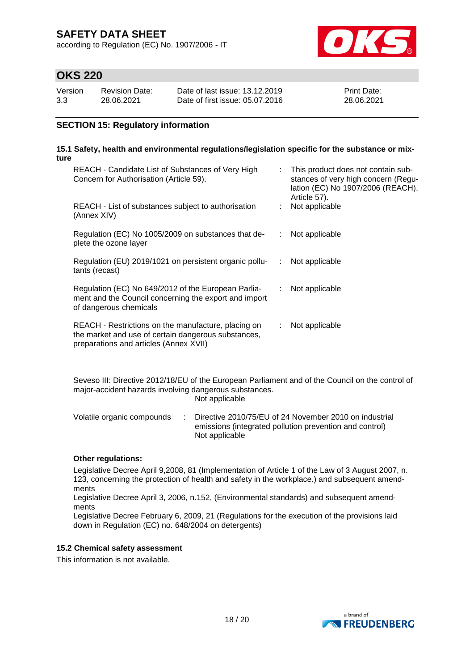according to Regulation (EC) No. 1907/2006 - IT



## **OKS 220**

| Version | Revision Date: | Date of last issue: 13.12.2019  | <b>Print Date:</b> |
|---------|----------------|---------------------------------|--------------------|
| 3.3     | 28.06.2021     | Date of first issue: 05.07.2016 | 28.06.2021         |

### **SECTION 15: Regulatory information**

#### **15.1 Safety, health and environmental regulations/legislation specific for the substance or mixture**

| REACH - Candidate List of Substances of Very High<br>Concern for Authorisation (Article 59).                                                         |    | : This product does not contain sub-<br>stances of very high concern (Regu-<br>lation (EC) No 1907/2006 (REACH),<br>Article 57). |
|------------------------------------------------------------------------------------------------------------------------------------------------------|----|----------------------------------------------------------------------------------------------------------------------------------|
| REACH - List of substances subject to authorisation<br>(Annex XIV)                                                                                   |    | Not applicable                                                                                                                   |
| Regulation (EC) No 1005/2009 on substances that de-<br>plete the ozone layer                                                                         | ÷  | Not applicable                                                                                                                   |
| Regulation (EU) 2019/1021 on persistent organic pollu-<br>tants (recast)                                                                             | ÷  | Not applicable                                                                                                                   |
| Regulation (EC) No 649/2012 of the European Parlia-<br>ment and the Council concerning the export and import<br>of dangerous chemicals               | ÷  | Not applicable                                                                                                                   |
| REACH - Restrictions on the manufacture, placing on<br>the market and use of certain dangerous substances,<br>preparations and articles (Annex XVII) | ÷. | Not applicable                                                                                                                   |

Seveso III: Directive 2012/18/EU of the European Parliament and of the Council on the control of major-accident hazards involving dangerous substances. Not applicable

Volatile organic compounds : Directive 2010/75/EU of 24 November 2010 on industrial emissions (integrated pollution prevention and control) Not applicable

### **Other regulations:**

Legislative Decree April 9,2008, 81 (Implementation of Article 1 of the Law of 3 August 2007, n. 123, concerning the protection of health and safety in the workplace.) and subsequent amendments

Legislative Decree April 3, 2006, n.152, (Environmental standards) and subsequent amendments

Legislative Decree February 6, 2009, 21 (Regulations for the execution of the provisions laid down in Regulation (EC) no. 648/2004 on detergents)

### **15.2 Chemical safety assessment**

This information is not available.

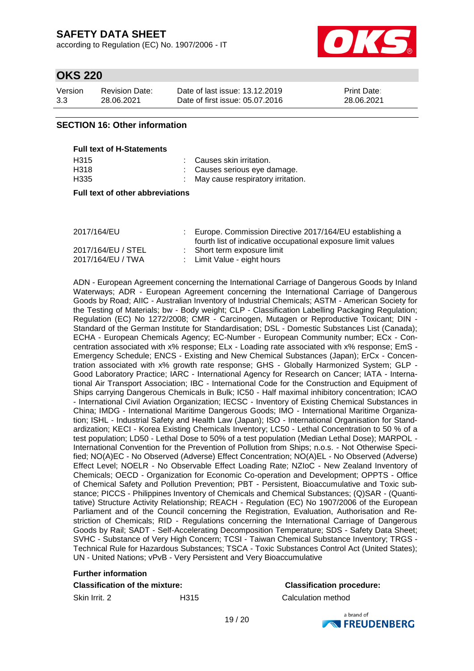according to Regulation (EC) No. 1907/2006 - IT



## **OKS 220**

| Version | <b>Revision Date:</b> | Date of last issue: 13.12.2019  | <b>Print Date:</b> |
|---------|-----------------------|---------------------------------|--------------------|
| 3.3     | 28.06.2021            | Date of first issue: 05.07.2016 | 28.06.2021         |

### **SECTION 16: Other information**

| <b>Full text of H-Statements</b> |                          |
|----------------------------------|--------------------------|
| H315                             | : Causes skin irritation |

| .    | 000000 0000 10000000                |
|------|-------------------------------------|
| H318 | : Causes serious eye damage.        |
| H335 | : May cause respiratory irritation. |

### **Full text of other abbreviations**

| 2017/164/EU        | : Europe. Commission Directive 2017/164/EU establishing a    |
|--------------------|--------------------------------------------------------------|
|                    | fourth list of indicative occupational exposure limit values |
| 2017/164/EU / STEL | : Short term exposure limit                                  |
| 2017/164/EU / TWA  | : Limit Value - eight hours                                  |

ADN - European Agreement concerning the International Carriage of Dangerous Goods by Inland Waterways; ADR - European Agreement concerning the International Carriage of Dangerous Goods by Road; AIIC - Australian Inventory of Industrial Chemicals; ASTM - American Society for the Testing of Materials; bw - Body weight; CLP - Classification Labelling Packaging Regulation; Regulation (EC) No 1272/2008; CMR - Carcinogen, Mutagen or Reproductive Toxicant; DIN - Standard of the German Institute for Standardisation; DSL - Domestic Substances List (Canada); ECHA - European Chemicals Agency; EC-Number - European Community number; ECx - Concentration associated with x% response; ELx - Loading rate associated with x% response; EmS - Emergency Schedule; ENCS - Existing and New Chemical Substances (Japan); ErCx - Concentration associated with x% growth rate response; GHS - Globally Harmonized System; GLP - Good Laboratory Practice; IARC - International Agency for Research on Cancer; IATA - International Air Transport Association; IBC - International Code for the Construction and Equipment of Ships carrying Dangerous Chemicals in Bulk; IC50 - Half maximal inhibitory concentration; ICAO - International Civil Aviation Organization; IECSC - Inventory of Existing Chemical Substances in China; IMDG - International Maritime Dangerous Goods; IMO - International Maritime Organization; ISHL - Industrial Safety and Health Law (Japan); ISO - International Organisation for Standardization; KECI - Korea Existing Chemicals Inventory; LC50 - Lethal Concentration to 50 % of a test population; LD50 - Lethal Dose to 50% of a test population (Median Lethal Dose); MARPOL - International Convention for the Prevention of Pollution from Ships; n.o.s. - Not Otherwise Specified; NO(A)EC - No Observed (Adverse) Effect Concentration; NO(A)EL - No Observed (Adverse) Effect Level; NOELR - No Observable Effect Loading Rate; NZIoC - New Zealand Inventory of Chemicals; OECD - Organization for Economic Co-operation and Development; OPPTS - Office of Chemical Safety and Pollution Prevention; PBT - Persistent, Bioaccumulative and Toxic substance; PICCS - Philippines Inventory of Chemicals and Chemical Substances; (Q)SAR - (Quantitative) Structure Activity Relationship; REACH - Regulation (EC) No 1907/2006 of the European Parliament and of the Council concerning the Registration, Evaluation, Authorisation and Restriction of Chemicals; RID - Regulations concerning the International Carriage of Dangerous Goods by Rail; SADT - Self-Accelerating Decomposition Temperature; SDS - Safety Data Sheet; SVHC - Substance of Very High Concern; TCSI - Taiwan Chemical Substance Inventory; TRGS - Technical Rule for Hazardous Substances; TSCA - Toxic Substances Control Act (United States); UN - United Nations; vPvB - Very Persistent and Very Bioaccumulative

### **Further information**

### **Classification of the mixture: Classification procedure:**

Skin Irrit. 2 H315 Calculation method